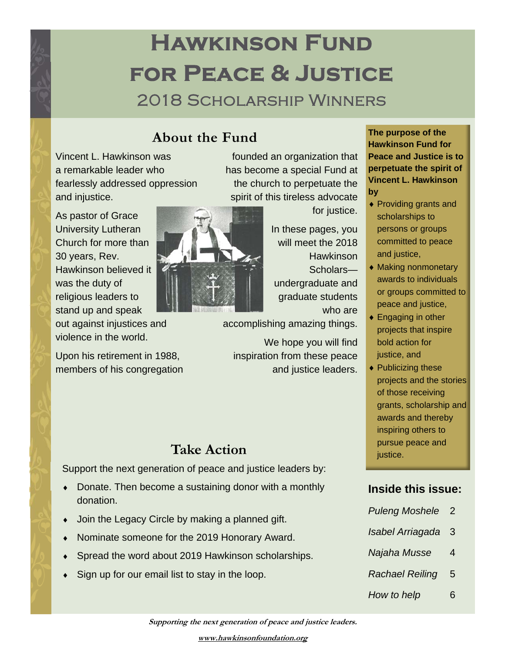# **Hawkinson Fund for Peace & Justice**  2018 Scholarship Winners

#### **About the Fund**

Vincent L. Hawkinson was a remarkable leader who fearlessly addressed oppression and injustice.

As pastor of Grace University Lutheran Church for more than 30 years, Rev. Hawkinson believed it was the duty of religious leaders to stand up and speak

out against injustices and violence in the world.

Upon his retirement in 1988, members of his congregation



founded an organization that has become a special Fund at the church to perpetuate the spirit of this tireless advocate

for justice.

In these pages, you will meet the 2018 **Hawkinson** 

Scholars undergraduate and graduate students who are

accomplishing amazing things.

We hope you will find inspiration from these peace and justice leaders.

Support the next generation of peace and justice leaders by:

- Donate. Then become a sustaining donor with a monthly donation.
- Join the Legacy Circle by making a planned gift.
- Nominate someone for the 2019 Honorary Award.
- Spread the word about 2019 Hawkinson scholarships.
- Sign up for our email list to stay in the loop.

**The purpose of the Hawkinson Fund for Peace and Justice is to perpetuate the spirit of Vincent L. Hawkinson by** 

- Providing grants and scholarships to persons or groups committed to peace and justice,
- ◆ Making nonmonetary awards to individuals or groups committed to peace and justice,
- ◆ Engaging in other projects that inspire bold action for justice, and
- ◆ Publicizing these projects and the stories of those receiving grants, scholarship and awards and thereby inspiring others to **Take Action Take Action justice.**

#### **Inside this issue:**

- *Puleng Moshele* 2
- *Isabel Arriagada* 3
- *Najaha Musse* 4
- *Rachael Reiling* 5
- *How to help* 6

**Supporting the next generation of peace and justice leaders.**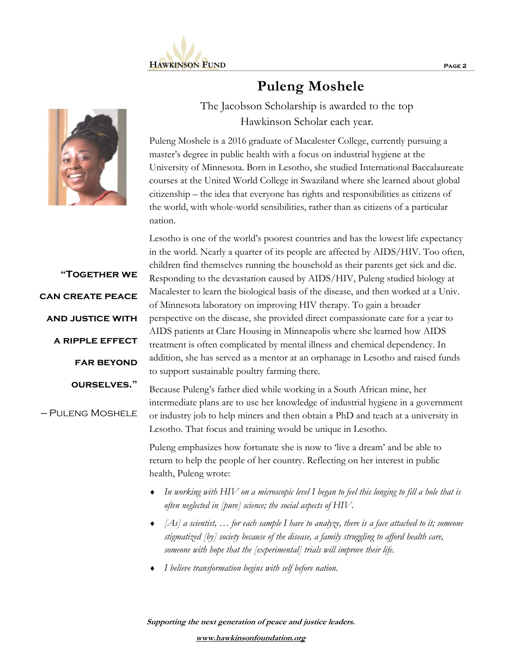



**"Together we can create peace and justice with a ripple effect far beyond ourselves."**  — Puleng Moshele **Puleng Moshele** 

The Jacobson Scholarship is awarded to the top Hawkinson Scholar each year.

Puleng Moshele is a 2016 graduate of Macalester College, currently pursuing a master's degree in public health with a focus on industrial hygiene at the University of Minnesota. Born in Lesotho, she studied International Baccalaureate courses at the United World College in Swaziland where she learned about global citizenship – the idea that everyone has rights and responsibilities as citizens of the world, with whole-world sensibilities, rather than as citizens of a particular nation.

Lesotho is one of the world's poorest countries and has the lowest life expectancy in the world. Nearly a quarter of its people are affected by AIDS/HIV. Too often, children find themselves running the household as their parents get sick and die. Responding to the devastation caused by AIDS/HIV, Puleng studied biology at Macalester to learn the biological basis of the disease, and then worked at a Univ. of Minnesota laboratory on improving HIV therapy. To gain a broader perspective on the disease, she provided direct compassionate care for a year to AIDS patients at Clare Housing in Minneapolis where she learned how AIDS treatment is often complicated by mental illness and chemical dependency. In addition, she has served as a mentor at an orphanage in Lesotho and raised funds to support sustainable poultry farming there.

Because Puleng's father died while working in a South African mine, her intermediate plans are to use her knowledge of industrial hygiene in a government or industry job to help miners and then obtain a PhD and teach at a university in Lesotho. That focus and training would be unique in Lesotho.

Puleng emphasizes how fortunate she is now to 'live a dream' and be able to return to help the people of her country. Reflecting on her interest in public health, Puleng wrote:

- *In working with HIV on a microscopic level I began to feel this longing to fill a hole that is often neglected in [pure] science; the social aspects of HIV.*
- *[As] a scientist, … for each sample I have to analyze, there is a face attached to it; someone stigmatized [by] society because of the disease, a family struggling to afford health care, someone with hope that the [experimental] trials will improve their life.*
- *I believe transformation begins with self before nation.*

**Supporting the next generation of peace and justice leaders.**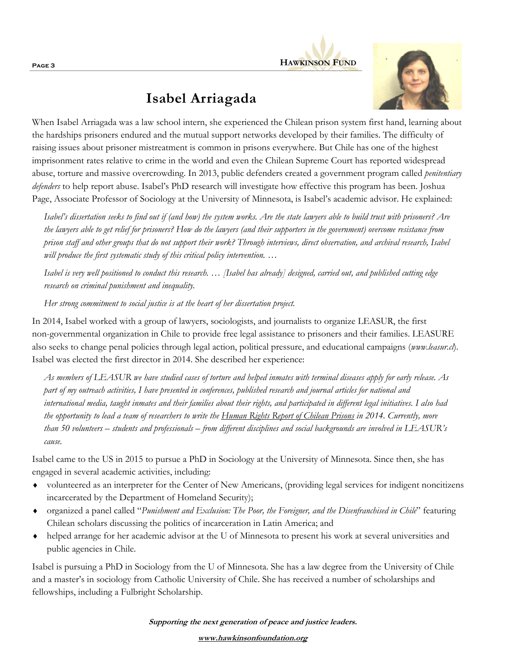

#### **Isabel Arriagada**



When Isabel Arriagada was a law school intern, she experienced the Chilean prison system first hand, learning about the hardships prisoners endured and the mutual support networks developed by their families. The difficulty of raising issues about prisoner mistreatment is common in prisons everywhere. But Chile has one of the highest imprisonment rates relative to crime in the world and even the Chilean Supreme Court has reported widespread abuse, torture and massive overcrowding. In 2013, public defenders created a government program called *penitentiary defenders* to help report abuse. Isabel's PhD research will investigate how effective this program has been. Joshua Page, Associate Professor of Sociology at the University of Minnesota, is Isabel's academic advisor. He explained:

*Isabel's dissertation seeks to find out if (and how) the system works. Are the state lawyers able to build trust with prisoners? Are the lawyers able to get relief for prisoners? How do the lawyers (and their supporters in the government) overcome resistance from prison staff and other groups that do not support their work? Through interviews, direct observation, and archival research, Isabel will produce the first systematic study of this critical policy intervention. …* 

*Isabel is very well positioned to conduct this research. … [Isabel has already] designed, carried out, and published cutting edge research on criminal punishment and inequality.* 

*Her strong commitment to social justice is at the heart of her dissertation project.* 

In 2014, Isabel worked with a group of lawyers, sociologists, and journalists to organize LEASUR, the first non-governmental organization in Chile to provide free legal assistance to prisoners and their families. LEASURE also seeks to change penal policies through legal action, political pressure, and educational campaigns (*www.leasur.cl*). Isabel was elected the first director in 2014. She described her experience:

*As members of LEASUR we have studied cases of torture and helped inmates with terminal diseases apply for early release. As part of my outreach activities, I have presented in conferences, published research and journal articles for national and international media, taught inmates and their families about their rights, and participated in different legal initiatives. I also had the opportunity to lead a team of researchers to write the Human Rights Report of Chilean Prisons in 2014. Currently, more than 50 volunteers – students and professionals – from different disciplines and social backgrounds are involved in LEASUR's cause.* 

Isabel came to the US in 2015 to pursue a PhD in Sociology at the University of Minnesota. Since then, she has engaged in several academic activities, including:

- volunteered as an interpreter for the Center of New Americans, (providing legal services for indigent noncitizens incarcerated by the Department of Homeland Security);
- organized a panel called "*Punishment and Exclusion: The Poor, the Foreigner, and the Disenfranchised in Chile*" featuring Chilean scholars discussing the politics of incarceration in Latin America; and
- helped arrange for her academic advisor at the U of Minnesota to present his work at several universities and public agencies in Chile.

Isabel is pursuing a PhD in Sociology from the U of Minnesota. She has a law degree from the University of Chile and a master's in sociology from Catholic University of Chile. She has received a number of scholarships and fellowships, including a Fulbright Scholarship.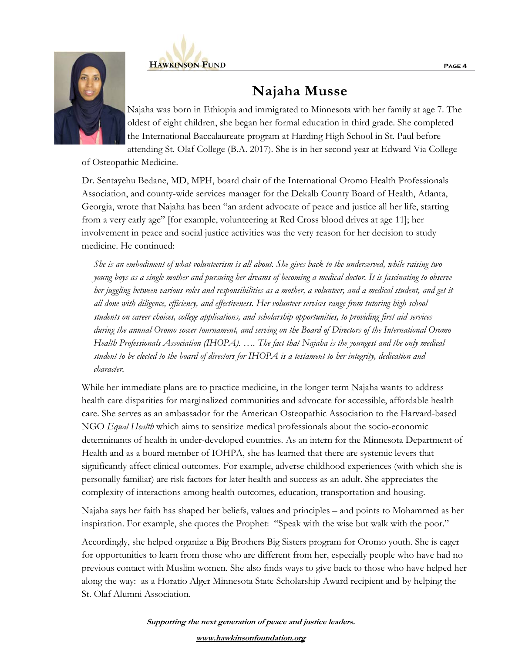



## **Najaha Musse**

Najaha was born in Ethiopia and immigrated to Minnesota with her family at age 7. The oldest of eight children, she began her formal education in third grade. She completed the International Baccalaureate program at Harding High School in St. Paul before attending St. Olaf College (B.A. 2017). She is in her second year at Edward Via College

of Osteopathic Medicine.

Dr. Sentayehu Bedane, MD, MPH, board chair of the International Oromo Health Professionals Association, and county-wide services manager for the Dekalb County Board of Health, Atlanta, Georgia, wrote that Najaha has been "an ardent advocate of peace and justice all her life, starting from a very early age" [for example, volunteering at Red Cross blood drives at age 11]; her involvement in peace and social justice activities was the very reason for her decision to study medicine. He continued:

*She is an embodiment of what volunteerism is all about. She gives back to the underserved, while raising two young boys as a single mother and pursuing her dreams of becoming a medical doctor. It is fascinating to observe her juggling between various roles and responsibilities as a mother, a volunteer, and a medical student, and get it all done with diligence, efficiency, and effectiveness. Her volunteer services range from tutoring high school students on career choices, college applications, and scholarship opportunities, to providing first aid services during the annual Oromo soccer tournament, and serving on the Board of Directors of the International Oromo Health Professionals Association (IHOPA). …. The fact that Najaha is the youngest and the only medical student to be elected to the board of directors for IHOPA is a testament to her integrity, dedication and character.* 

While her immediate plans are to practice medicine, in the longer term Najaha wants to address health care disparities for marginalized communities and advocate for accessible, affordable health care. She serves as an ambassador for the American Osteopathic Association to the Harvard-based NGO *Equal Health* which aims to sensitize medical professionals about the socio-economic determinants of health in under-developed countries. As an intern for the Minnesota Department of Health and as a board member of IOHPA, she has learned that there are systemic levers that significantly affect clinical outcomes. For example, adverse childhood experiences (with which she is personally familiar) are risk factors for later health and success as an adult. She appreciates the complexity of interactions among health outcomes, education, transportation and housing.

Najaha says her faith has shaped her beliefs, values and principles – and points to Mohammed as her inspiration. For example, she quotes the Prophet: "Speak with the wise but walk with the poor."

Accordingly, she helped organize a Big Brothers Big Sisters program for Oromo youth. She is eager for opportunities to learn from those who are different from her, especially people who have had no previous contact with Muslim women. She also finds ways to give back to those who have helped her along the way: as a Horatio Alger Minnesota State Scholarship Award recipient and by helping the St. Olaf Alumni Association.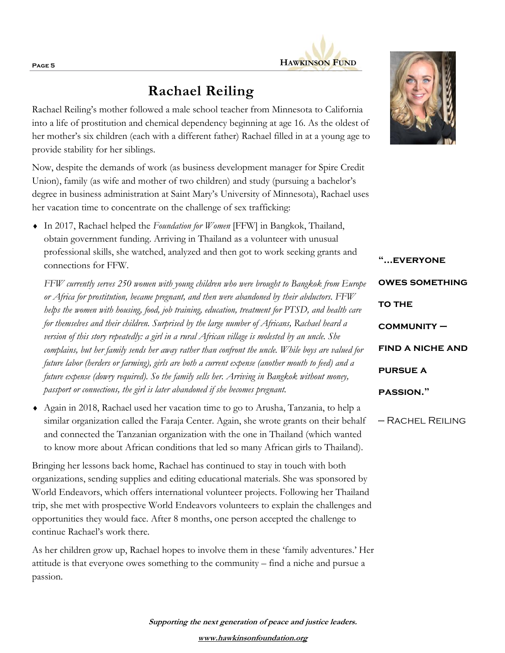

## **Rachael Reiling**

Rachael Reiling's mother followed a male school teacher from Minnesota to California into a life of prostitution and chemical dependency beginning at age 16. As the oldest of her mother's six children (each with a different father) Rachael filled in at a young age to provide stability for her siblings.

Now, despite the demands of work (as business development manager for Spire Credit Union), family (as wife and mother of two children) and study (pursuing a bachelor's degree in business administration at Saint Mary's University of Minnesota), Rachael uses her vacation time to concentrate on the challenge of sex trafficking:

 In 2017, Rachael helped the *Foundation for Women* [FFW] in Bangkok, Thailand, obtain government funding. Arriving in Thailand as a volunteer with unusual professional skills, she watched, analyzed and then got to work seeking grants and connections for FFW.

*FFW currently serves 250 women with young children who were brought to Bangkok from Europe or Africa for prostitution, became pregnant, and then were abandoned by their abductors. FFW helps the women with housing, food, job training, education, treatment for PTSD, and health care for themselves and their children. Surprised by the large number of Africans, Rachael heard a version of this story repeatedly: a girl in a rural African village is molested by an uncle. She complains, but her family sends her away rather than confront the uncle. While boys are valued for future labor (herders or farming), girls are both a current expense (another mouth to feed) and a future expense (dowry required). So the family sells her. Arriving in Bangkok without money, passport or connections, the girl is later abandoned if she becomes pregnant.* 

 Again in 2018, Rachael used her vacation time to go to Arusha, Tanzania, to help a similar organization called the Faraja Center. Again, she wrote grants on their behalf and connected the Tanzanian organization with the one in Thailand (which wanted to know more about African conditions that led so many African girls to Thailand).

Bringing her lessons back home, Rachael has continued to stay in touch with both organizations, sending supplies and editing educational materials. She was sponsored by World Endeavors, which offers international volunteer projects. Following her Thailand trip, she met with prospective World Endeavors volunteers to explain the challenges and opportunities they would face. After 8 months, one person accepted the challenge to continue Rachael's work there.

As her children grow up, Rachael hopes to involve them in these 'family adventures.' Her attitude is that everyone owes something to the community – find a niche and pursue a passion.



**"...everyone owes something TO THE community – find a niche and pursue a passion."** 

— Rachel Reiling

**Supporting the next generation of peace and justice leaders. www.hawkinsonfoundation.org**